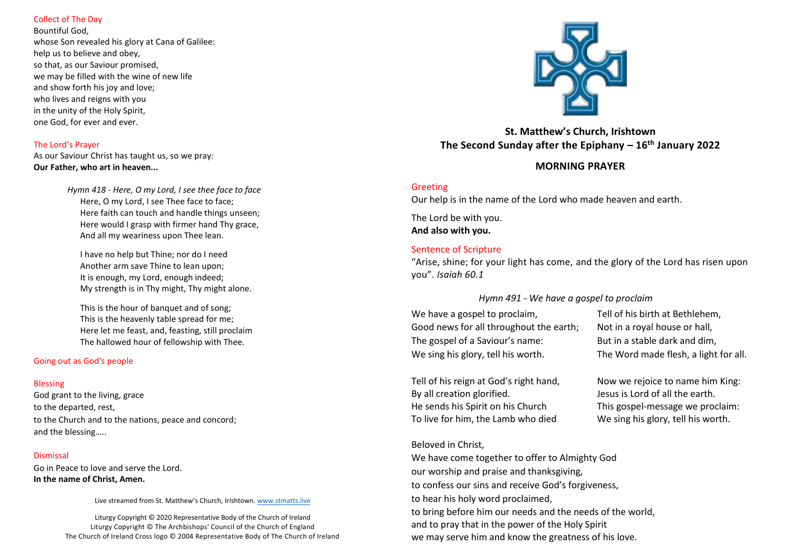### Collect of The Day

Bountiful God, whose Son revealed his glory at Cana of Galilee: help us to believe and obey, so that, as our Saviour promised, we may be filled with the wine of new life and show forth his joy and love; who lives and reigns with you in the unity of the Holy Spirit, one God, for ever and ever.

### The Lord's Prayer

As our Saviour Christ has taught us, so we pray: **Our Father, who art in heaven...**

> *Hymn 418 - Here, O my Lord, I see thee face to face* Here, O my Lord, I see Thee face to face; Here faith can touch and handle things unseen; Here would I grasp with firmer hand Thy grace, And all my weariness upon Thee lean.

I have no help but Thine; nor do I need Another arm save Thine to lean upon; It is enough, my Lord, enough indeed; My strength is in Thy might, Thy might alone.

This is the hour of banquet and of song: This is the heavenly table spread for me; Here let me feast, and, feasting, still proclaim The hallowed hour of fellowship with Thee.

#### Going out as God's people

#### Blessing

God grant to the living, grace to the departed, rest, to the Church and to the nations, peace and concord; and the blessing…..

#### Dismissal

Go in Peace to love and serve the Lord. **In the name of Christ, Amen.**

Live streamed from St. Matthew's Church, Irishtown. [www.stmatts.live](http://www.stmatts.live/)

Liturgy Copyright © 2020 Representative Body of the Church of Ireland Liturgy Copyright © The Archbishops' Council of the Church of England The Church of Ireland Cross logo © 2004 Representative Body of The Church of Ireland



# **St. Matthew's Church, Irishtown The Second Sunday after the Epiphany – 16th January 2022**

# **MORNING PRAYER**

### Greeting

Our help is in the name of the Lord who made heaven and earth.

The Lord be with you. **And also with you.**

# Sentence of Scripture

"Arise, shine; for your light has come, and the glory of the Lord has risen upon you". *Isaiah 60.1*

# *Hymn 491 - We have a gospel to proclaim*

| We have a gospel to proclaim,           | Tell of his birth at Bethlehem,       |
|-----------------------------------------|---------------------------------------|
| Good news for all throughout the earth; | Not in a royal house or hall,         |
| The gospel of a Saviour's name:         | But in a stable dark and dim,         |
| We sing his glory, tell his worth.      | The Word made flesh, a light for all. |

Tell of his reign at God's right hand, Now we rejoice to name him King: By all creation glorified.  $\qquad \qquad$  Jesus is Lord of all the earth. He sends his Spirit on his Church This gospel-message we proclaim: To live for him, the Lamb who died We sing his glory, tell his worth.

### Beloved in Christ,

We have come together to offer to Almighty God our worship and praise and thanksgiving, to confess our sins and receive God's forgiveness, to hear his holy word proclaimed, to bring before him our needs and the needs of the world, and to pray that in the power of the Holy Spirit we may serve him and know the greatness of his love.